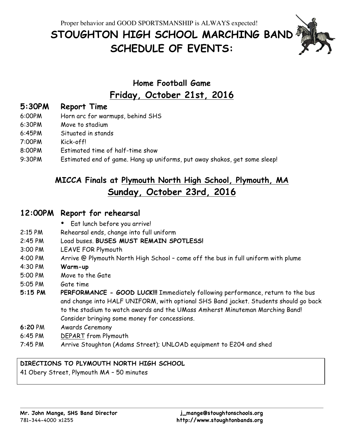Proper behavior and GOOD SPORTSMANSHIP is ALWAYS expected!

# **STOUGHTON HIGH SCHOOL MARCHING BAND SCHEDULE OF EVENTS:**

## **Home Football Game Friday, October 21st, 2016**

### **5:30PM Report Time**

- 6:00PM Horn arc for warmups, behind SHS
- 6:30PM Move to stadium
- 6:45PM Situated in stands
- 7:00PM Kick-off!
- 8:00PM Estimated time of half-time show
- 9:30PM Estimated end of game. Hang up uniforms, put away shakos, get some sleep!

### **MICCA Finals at Plymouth North High School, Plymouth, MA Sunday, October 23rd, 2016**

#### **12:00PM Report for rehearsal**

- Eat lunch before you arrive!
- 2:15 PM Rehearsal ends, change into full uniform
- 2:45 PM Load buses. **BUSES MUST REMAIN SPOTLESS!**
- 3:00 PM LEAVE FOR Plymouth
- 4:00 PM Arrive @ Plymouth North High School come off the bus in full uniform with plume
- 4:30 PM **Warm-up**
- 5:00 PM Move to the Gate
- 5:05 PM Gate time
- **5:15 PM PERFORMANCE - GOOD LUCK!!!** Immediately following performance, return to the bus and change into HALF UNIFORM, with optional SHS Band jacket. Students should go back to the stadium to watch awards and the UMass Amherst Minuteman Marching Band! Consider bringing some money for concessions.
- **6:20** PM Awards Ceremony
- 6:45 PM DEPART from Plymouth
- 7:45 PM Arrive Stoughton (Adams Street); UNLOAD equipment to E204 and shed

#### **DIRECTIONS TO PLYMOUTH NORTH HIGH SCHOOL**

41 Obery Street, Plymouth MA – 50 minutes